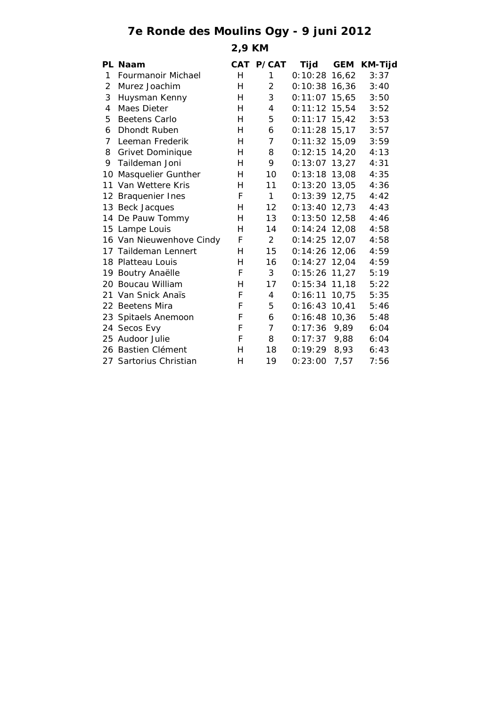## **7e Ronde des Moulins Ogy - 9 juni 2012**

**2,9 KM**

|                | PL Naam                  |   | CAT P/CAT      | Tijd            | <b>GEM</b> | <b>KM-Tijd</b> |
|----------------|--------------------------|---|----------------|-----------------|------------|----------------|
| 1              | Fourmanoir Michael       | Н | 1              | 0:10:28         | 16,62      | 3:37           |
| $\overline{2}$ | Murez Joachim            | H | $\overline{2}$ | $0:10:38$ 16,36 |            | 3:40           |
| 3              | Huysman Kenny            | Н | 3              | $0:11:07$ 15,65 |            | 3:50           |
| 4              | Maes Dieter              | H | 4              | $0:11:12$ 15,54 |            | 3:52           |
| 5              | Beetens Carlo            | Н | 5              | $0:11:17$ 15,42 |            | 3:53           |
| 6              | Dhondt Ruben             | Н | 6              | $0:11:28$ 15,17 |            | 3:57           |
| 7              | Leeman Frederik          | H | $\overline{7}$ | $0:11:32$ 15,09 |            | 3:59           |
| 8              | <b>Grivet Dominique</b>  | Н | 8              | $0:12:15$ 14,20 |            | 4:13           |
| 9              | Taildeman Joni           | Н | 9              | $0:13:07$ 13,27 |            | 4:31           |
| 10             | Masquelier Gunther       | Н | 10             | $0:13:18$ 13,08 |            | 4:35           |
|                | 11 Van Wettere Kris      | н | 11             | $0:13:20$ 13,05 |            | 4:36           |
|                | 12 Braquenier Ines       | F | $\mathbf{1}$   | $0:13:39$ 12,75 |            | 4:42           |
|                | 13 Beck Jacques          | Н | 12             | $0:13:40$ 12,73 |            | 4:43           |
|                | 14 De Pauw Tommy         | Н | 13             | $0:13:50$ 12,58 |            | 4:46           |
|                | 15 Lampe Louis           | Н | 14             | $0:14:24$ 12,08 |            | 4:58           |
|                | 16 Van Nieuwenhove Cindy | F | $\overline{2}$ | $0:14:25$ 12,07 |            | 4:58           |
|                | 17 Taildeman Lennert     | Н | 15             | $0:14:26$ 12,06 |            | 4:59           |
|                | 18 Platteau Louis        | н | 16             | $0:14:27$ 12,04 |            | 4:59           |
|                | 19 Boutry Anaëlle        | F | 3              | $0:15:26$ 11,27 |            | 5:19           |
|                | 20 Boucau William        | Н | 17             | $0:15:34$ 11,18 |            | 5:22           |
|                | 21 Van Snick Anaïs       | F | 4              | 0:16:11         | 10.75      | 5:35           |
|                | 22 Beetens Mira          | F | 5              | $0:16:43$ 10,41 |            | 5:46           |
|                | 23 Spitaels Anemoon      | F | 6              | $0:16:48$ 10,36 |            | 5:48           |
|                | 24 Secos Evy             | F | $\overline{7}$ | $0:17:36$ 9,89  |            | 6:04           |
|                | 25 Audoor Julie          | F | 8              | 0:17:37         | 9,88       | 6:04           |
|                | 26 Bastien Clément       | Н | 18             | 0:19:29         | 8,93       | 6:43           |
|                | 27 Sartorius Christian   | н | 19             | 0:23:00         | 7,57       | 7:56           |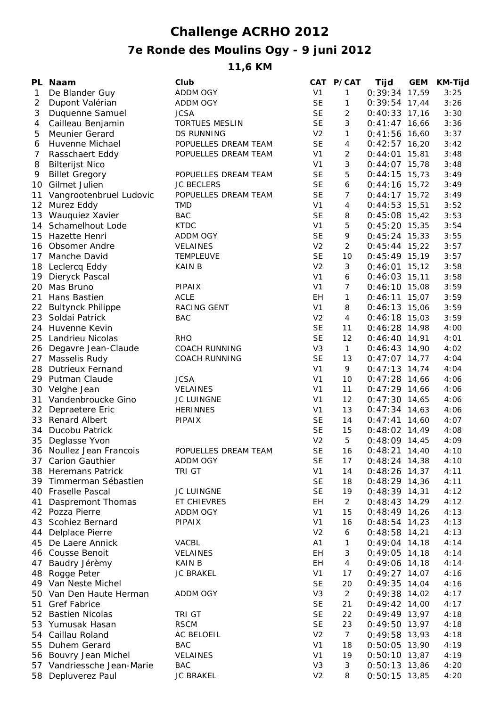## **Challenge ACRHO 2012 7e Ronde des Moulins Ogy - 9 juni 2012**

**11,6 KM**

|                 | PL Naam                    | Club                  |                | CAT P/CAT           | Tijd            | <b>GEM</b> | <b>KM-Tijd</b> |
|-----------------|----------------------------|-----------------------|----------------|---------------------|-----------------|------------|----------------|
| $\mathbf{1}$    | De Blander Guy             | ADDM OGY              | V <sub>1</sub> | 1                   | 0:39:34 17,59   |            | 3:25           |
| 2               | Dupont Valérian            | ADDM OGY              | <b>SE</b>      | 1                   | $0:39:54$ 17,44 |            | 3:26           |
| 3               | Duquenne Samuel            | <b>JCSA</b>           | <b>SE</b>      | 2                   | $0:40:33$ 17,16 |            | 3:30           |
| 4               | Cailleau Benjamin          | <b>TORTUES MESLIN</b> | <b>SE</b>      | 3                   | $0:41:47$ 16,66 |            | 3:36           |
| 5               | Meunier Gerard             | <b>DS RUNNING</b>     | V <sub>2</sub> | 1                   | $0:41:56$ 16,60 |            | 3:37           |
| 6               | Huvenne Michael            | POPUELLES DREAM TEAM  | <b>SE</b>      | 4                   | $0:42:57$ 16,20 |            | 3:42           |
| 7               | Rasschaert Eddy            | POPUELLES DREAM TEAM  | V <sub>1</sub> | 2                   | $0:44:01$ 15,81 |            | 3:48           |
| 8               | <b>Bilterijst Nico</b>     |                       | V <sub>1</sub> | 3                   | $0:44:07$ 15,78 |            | 3:48           |
| 9               | <b>Billet Gregory</b>      | POPUELLES DREAM TEAM  | <b>SE</b>      | 5                   | $0:44:15$ 15,73 |            | 3:49           |
| 10              | Gilmet Julien              | <b>JC BECLERS</b>     | <b>SE</b>      | 6                   | $0:44:16$ 15,72 |            | 3:49           |
| 11              | Vangrootenbruel Ludovic    | POPUELLES DREAM TEAM  | <b>SE</b>      | $\overline{7}$      | $0:44:17$ 15,72 |            | 3:49           |
| 12 <sup>2</sup> | Murez Eddy                 | <b>TMD</b>            | V <sub>1</sub> | 4                   | $0:44:53$ 15,51 |            | 3:52           |
|                 | 13 Wauquiez Xavier         | <b>BAC</b>            | <b>SE</b>      | 8                   | $0:45:08$ 15,42 |            | 3:53           |
| 14              | Schamelhout Lode           | <b>KTDC</b>           | V <sub>1</sub> | 5                   | $0:45:20$ 15,35 |            | 3:54           |
|                 | 15 Hazette Henri           | ADDM OGY              | <b>SE</b>      | 9                   | $0:45:24$ 15,33 |            | 3:55           |
|                 | 16 Obsomer Andre           | <b>VELAINES</b>       | V <sub>2</sub> | 2                   | $0:45:44$ 15,22 |            | 3:57           |
| 17              | Manche David               | TEMPLEUVE             | <b>SE</b>      | 10                  | $0:45:49$ 15,19 |            | 3:57           |
|                 | 18 Leclercq Eddy           | <b>KAIN B</b>         | V <sub>2</sub> | 3                   | $0:46:01$ 15,12 |            | 3:58           |
|                 | 19 Dieryck Pascal          |                       | V <sub>1</sub> | 6                   | $0:46:03$ 15,11 |            | 3:58           |
| 20              | Mas Bruno                  | <b>PIPAIX</b>         | V <sub>1</sub> | $\overline{7}$      | $0:46:10$ 15,08 |            | 3:59           |
| 21              | Hans Bastien               | <b>ACLE</b>           | EH             | $\mathbf{1}$        | $0:46:11$ 15,07 |            | 3:59           |
|                 |                            | RACING GENT           |                |                     | $0:46:13$ 15,06 |            |                |
|                 | 22 Bultynck Philippe       |                       | V <sub>1</sub> | 8<br>$\overline{4}$ |                 |            | 3:59           |
|                 | 23 Soldai Patrick          | <b>BAC</b>            | V <sub>2</sub> |                     | $0:46:18$ 15,03 |            | 3:59           |
|                 | 24 Huvenne Kevin           |                       | <b>SE</b>      | 11                  | $0:46:28$ 14,98 |            | 4:00           |
|                 | 25 Landrieu Nicolas        | <b>RHO</b>            | <b>SE</b>      | 12                  | $0:46:40$ 14,91 |            | 4:01           |
|                 | 26 Degavre Jean-Claude     | <b>COACH RUNNING</b>  | V <sub>3</sub> | $\mathbf{1}$        | $0:46:43$ 14,90 |            | 4:02           |
| 27              | Masselis Rudy              | <b>COACH RUNNING</b>  | <b>SE</b>      | 13                  | $0:47:07$ 14,77 |            | 4:04           |
| 28              | <b>Dutrieux Fernand</b>    |                       | V <sub>1</sub> | 9                   | $0:47:13$ 14,74 |            | 4:04           |
|                 | 29 Putman Claude           | <b>JCSA</b>           | V <sub>1</sub> | 10                  | $0:47:28$ 14,66 |            | 4:06           |
|                 | 30 Velghe Jean             | VELAINES              | V <sub>1</sub> | 11                  | $0:47:29$ 14,66 |            | 4:06           |
|                 | 31 Vandenbroucke Gino      | JC LUINGNE            | V <sub>1</sub> | 12                  | $0:47:30$ 14,65 |            | 4:06           |
|                 | 32 Depraetere Eric         | <b>HERINNES</b>       | V <sub>1</sub> | 13                  | $0:47:34$ 14,63 |            | 4:06           |
|                 | 33 Renard Albert           | <b>PIPAIX</b>         | <b>SE</b>      | 14                  | $0:47:41$ 14,60 |            | 4:07           |
| 34              | Ducobu Patrick             |                       | <b>SE</b>      | 15                  | $0:48:02$ 14,49 |            | 4:08           |
|                 | 35 Deglasse Yvon           |                       | V <sub>2</sub> | 5                   | $0:48:09$ 14,45 |            | 4:09           |
|                 | 36 Noullez Jean Francois   | POPUELLES DREAM TEAM  | <b>SE</b>      | 16                  | $0:48:21$ 14,40 |            | 4:10           |
|                 | 37 Carion Gauthier         | ADDM OGY              | SE             | 17                  | $0:48:24$ 14,38 |            | 4:10           |
|                 | 38 Heremans Patrick        | TRI GT                | V <sub>1</sub> | 14                  | $0:48:26$ 14,37 |            | 4:11           |
| 39              | Timmerman Sébastien        |                       | <b>SE</b>      | 18                  | $0:48:29$ 14,36 |            | 4:11           |
| 40              | <b>Fraselle Pascal</b>     | JC LUINGNE            | <b>SE</b>      | 19                  | $0:48:39$ 14,31 |            | 4:12           |
| 41              | Daspremont Thomas          | ET CHIEVRES           | EH             | 2                   | $0:48:43$ 14,29 |            | 4:12           |
|                 | 42 Pozza Pierre            | ADDM OGY              | V <sub>1</sub> | 15                  | $0:48:49$ 14,26 |            | 4:13           |
| 43              | <b>Scohiez Bernard</b>     | <b>PIPAIX</b>         | V <sub>1</sub> | 16                  | $0:48:54$ 14,23 |            | 4:13           |
| 44              | Delplace Pierre            |                       | V <sub>2</sub> | 6                   | $0:48:58$ 14,21 |            | 4:13           |
| 45              | De Laere Annick            | VACBL                 | A <sub>1</sub> | 1                   | $0:49:04$ 14,18 |            | 4:14           |
|                 | 46 Cousse Benoit           | <b>VELAINES</b>       | EH             | 3                   | $0:49:05$ 14,18 |            | 4:14           |
| 47              | Baudry Jérèmy              | KAIN B                | EH             | 4                   | $0:49:06$ 14,18 |            | 4:14           |
|                 | 48 Rogge Peter             | <b>JC BRAKEL</b>      | V <sub>1</sub> | 17                  | $0:49:27$ 14,07 |            | 4:16           |
|                 | 49 Van Neste Michel        |                       | <b>SE</b>      | 20                  | $0:49:35$ 14,04 |            | 4:16           |
|                 | 50 Van Den Haute Herman    | ADDM OGY              | V <sub>3</sub> | $\overline{2}$      | $0:49:38$ 14,02 |            | 4:17           |
|                 | 51 Gref Fabrice            |                       | <b>SE</b>      | 21                  | $0:49:42$ 14,00 |            | 4:17           |
|                 | 52 Bastien Nicolas         | TRI GT                | <b>SE</b>      | 22                  | $0:49:49$ 13,97 |            | 4:18           |
|                 | 53 Yumusak Hasan           | <b>RSCM</b>           | <b>SE</b>      | 23                  | $0:49:50$ 13,97 |            | 4:18           |
| 54              | Caillau Roland             | AC BELOEIL            | V <sub>2</sub> | $\overline{7}$      | $0:49:58$ 13,93 |            | 4:18           |
| 55              | Duhem Gerard               | <b>BAC</b>            | V <sub>1</sub> | 18                  | $0:50:05$ 13,90 |            | 4:19           |
|                 | 56 Bouvry Jean Michel      | <b>VELAINES</b>       | V1             | 19                  | $0:50:10$ 13,87 |            | 4:19           |
|                 | 57 Vandriessche Jean-Marie | <b>BAC</b>            | V <sub>3</sub> | 3                   | $0:50:13$ 13,86 |            | 4:20           |
|                 | 58 Depluverez Paul         | <b>JC BRAKEL</b>      | V <sub>2</sub> | 8                   | $0:50:15$ 13,85 |            | 4:20           |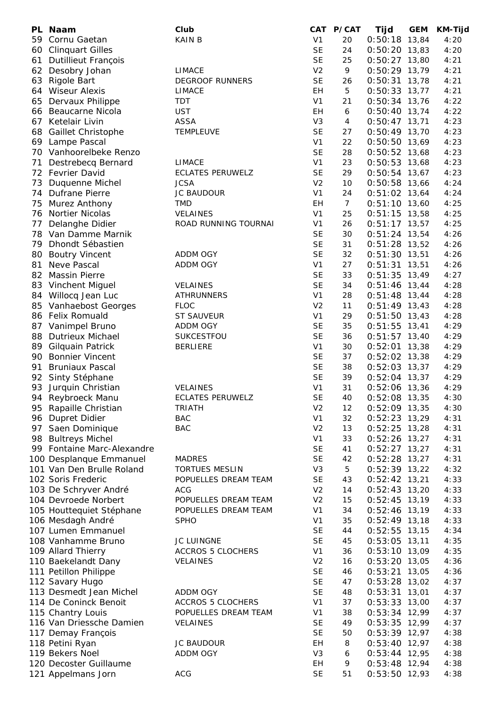| PL | Naam                       | Club                     |                | CAT P/CAT      | Tijd            | <b>GEM</b> | <b>KM-Tijd</b> |
|----|----------------------------|--------------------------|----------------|----------------|-----------------|------------|----------------|
| 59 | Cornu Gaetan               | <b>KAIN B</b>            | V <sub>1</sub> | 20             | $0:50:18$ 13,84 |            | 4:20           |
| 60 | <b>Clinquart Gilles</b>    |                          | <b>SE</b>      | 24             | $0:50:20$ 13,83 |            | 4:20           |
| 61 | <b>Dutillieut François</b> |                          | <b>SE</b>      | 25             | $0:50:27$ 13,80 |            | 4:21           |
| 62 | Desobry Johan              | <b>LIMACE</b>            | V <sub>2</sub> | 9              | $0:50:29$ 13,79 |            | 4:21           |
| 63 | Rigole Bart                | <b>DEGROOF RUNNERS</b>   | <b>SE</b>      | 26             | 0:50:31         | 13,78      | 4:21           |
| 64 | <b>Wiseur Alexis</b>       | <b>LIMACE</b>            | EН             | 5              | $0:50:33$ 13,77 |            | 4:21           |
| 65 | Dervaux Philippe           | TDT                      | V <sub>1</sub> | 21             | $0:50:34$ 13,76 |            | 4:22           |
| 66 | Beaucarne Nicola           | <b>UST</b>               | EH             | 6              | $0:50:40$ 13,74 |            | 4:22           |
| 67 | Ketelair Livin             | <b>ASSA</b>              | V <sub>3</sub> | 4              | $0:50:47$ 13,71 |            | 4:23           |
| 68 | Gaillet Christophe         | <b>TEMPLEUVE</b>         | <b>SE</b>      | 27             | $0:50:49$ 13,70 |            | 4:23           |
|    | 69 Lampe Pascal            |                          | V <sub>1</sub> | 22             | $0:50:50$ 13,69 |            | 4:23           |
|    | 70 Vanhoorelbeke Renzo     |                          | <b>SE</b>      | 28             | $0:50:52$ 13,68 |            | 4:23           |
| 71 | Destrebecq Bernard         | <b>LIMACE</b>            | V <sub>1</sub> | 23             | $0:50:53$ 13,68 |            | 4:23           |
|    | 72 Fevrier David           | <b>ECLATES PERUWELZ</b>  | <b>SE</b>      | 29             | $0:50:54$ 13,67 |            | 4:23           |
| 73 | Duquenne Michel            | <b>JCSA</b>              | V <sub>2</sub> | 10             | $0:50:58$ 13,66 |            | 4:24           |
|    | 74 Dufrane Pierre          | <b>JC BAUDOUR</b>        | V <sub>1</sub> | 24             | $0:51:02$ 13,64 |            | 4:24           |
| 75 | <b>Murez Anthony</b>       | <b>TMD</b>               | EH             | $\overline{7}$ | $0:51:10$ 13,60 |            | 4:25           |
|    | 76 Nortier Nicolas         | VELAINES                 | V <sub>1</sub> | 25             | $0:51:15$ 13,58 |            | 4:25           |
| 77 | Delanghe Didier            | ROAD RUNNING TOURNAI     | V <sub>1</sub> | 26             | $0:51:17$ 13,57 |            | 4:25           |
|    | 78 Van Damme Marnik        |                          | <b>SE</b>      | 30             | $0:51:24$ 13,54 |            | 4:26           |
|    | 79 Dhondt Sébastien        |                          | <b>SE</b>      | 31             | $0:51:28$ 13,52 |            | 4:26           |
| 80 | <b>Boutry Vincent</b>      | <b>ADDM OGY</b>          | <b>SE</b>      | 32             | $0:51:30$ 13,51 |            | 4:26           |
| 81 | Neve Pascal                | <b>ADDM OGY</b>          | V <sub>1</sub> | 27             | $0:51:31$ 13,51 |            | 4:26           |
|    | 82 Massin Pierre           |                          | <b>SE</b>      | 33             | $0:51:35$ 13,49 |            | 4:27           |
|    | 83 Vinchent Miguel         | <b>VELAINES</b>          | <b>SE</b>      | 34             | $0:51:46$ 13,44 |            | 4:28           |
|    | 84 Willocq Jean Luc        | <b>ATHRUNNERS</b>        | V <sub>1</sub> | 28             | $0:51:48$ 13,44 |            | 4:28           |
|    | 85 Vanhaebost Georges      | <b>FLOC</b>              | V <sub>2</sub> | 11             | $0:51:49$ 13,43 |            | 4:28           |
|    | 86 Felix Romuald           | ST SAUVEUR               | V <sub>1</sub> | 29             | $0:51:50$ 13,43 |            | 4:28           |
|    | 87 Vanimpel Bruno          | ADDM OGY                 | <b>SE</b>      | 35             | $0:51:55$ 13,41 |            | 4:29           |
| 88 | Dutrieux Michael           | SUKCESTFOU               | <b>SE</b>      | 36             | $0:51:57$ 13,40 |            | 4:29           |
|    | 89 Gilquain Patrick        | <b>BERLIERE</b>          | V <sub>1</sub> | 30             | 0:52:01         | 13,38      | 4:29           |
|    | 90 Bonnier Vincent         |                          | <b>SE</b>      | 37             | $0:52:02$ 13,38 |            | 4:29           |
| 91 | <b>Bruniaux Pascal</b>     |                          | <b>SE</b>      | 38             | $0:52:03$ 13,37 |            | 4:29           |
| 92 | Sinty Stéphane             |                          | <b>SE</b>      | 39             | $0:52:04$ 13,37 |            | 4:29           |
| 93 | Jurquin Christian          | <b>VELAINES</b>          | V <sub>1</sub> | 31             | $0:52:06$ 13,36 |            | 4:29           |
| 94 | Reybroeck Manu             | ECLATES PERUWELZ         | <b>SE</b>      | 40             | $0:52:08$ 13,35 |            | 4:30           |
| 95 | Rapaille Christian         | <b>TRIATH</b>            | V <sub>2</sub> | 12             | $0:52:09$ 13,35 |            | 4:30           |
|    | 96 Dupret Didier           | <b>BAC</b>               | V <sub>1</sub> | 32             | $0:52:23$ 13,29 |            | 4:31           |
| 97 | Saen Dominique             | <b>BAC</b>               | V <sub>2</sub> | 13             | $0:52:25$ 13,28 |            | 4:31           |
| 98 | <b>Bultreys Michel</b>     |                          | V <sub>1</sub> | 33             | $0:52:26$ 13,27 |            | 4:31           |
|    | 99 Fontaine Marc-Alexandre |                          | <b>SE</b>      | 41             | $0:52:27$ 13,27 |            | 4:31           |
|    | 100 Desplanque Emmanuel    | <b>MADRES</b>            | <b>SE</b>      | 42             | $0:52:28$ 13,27 |            | 4:31           |
|    | 101 Van Den Brulle Roland  | <b>TORTUES MESLIN</b>    | V <sub>3</sub> | 5              | $0:52:39$ 13,22 |            | 4:32           |
|    | 102 Soris Frederic         | POPUELLES DREAM TEAM     | <b>SE</b>      | 43             | $0:52:42$ 13,21 |            | 4:33           |
|    | 103 De Schryver André      | <b>ACG</b>               | V <sub>2</sub> | 14             | $0:52:43$ 13,20 |            | 4:33           |
|    | 104 Devroede Norbert       | POPUELLES DREAM TEAM     | V <sub>2</sub> | 15             | $0:52:45$ 13,19 |            | 4:33           |
|    | 105 Houttequiet Stéphane   | POPUELLES DREAM TEAM     | V <sub>1</sub> | 34             | $0:52:46$ 13,19 |            | 4:33           |
|    | 106 Mesdagh André          | <b>SPHO</b>              | V <sub>1</sub> | 35             | $0:52:49$ 13,18 |            | 4:33           |
|    | 107 Lumen Emmanuel         |                          | <b>SE</b>      | 44             | $0:52:55$ 13,15 |            | 4:34           |
|    | 108 Vanhamme Bruno         | JC LUINGNE               | <b>SE</b>      | 45             | $0:53:05$ 13,11 |            | 4:35           |
|    | 109 Allard Thierry         | <b>ACCROS 5 CLOCHERS</b> | V <sub>1</sub> | 36             | $0:53:10$ 13,09 |            | 4:35           |
|    | 110 Baekelandt Dany        | <b>VELAINES</b>          | V <sub>2</sub> | 16             | $0:53:20$ 13,05 |            | 4:36           |
|    | 111 Petillon Philippe      |                          | <b>SE</b>      | 46             | $0:53:21$ 13,05 |            | 4:36           |
|    | 112 Savary Hugo            |                          | <b>SE</b>      | 47             | $0:53:28$ 13,02 |            | 4:37           |
|    | 113 Desmedt Jean Michel    | <b>ADDM OGY</b>          | <b>SE</b>      | 48             | $0:53:31$ 13,01 |            | 4:37           |
|    | 114 De Coninck Benoit      | <b>ACCROS 5 CLOCHERS</b> | V <sub>1</sub> | 37             | $0:53:33$ 13,00 |            | 4:37           |
|    | 115 Chantry Louis          | POPUELLES DREAM TEAM     | V <sub>1</sub> | 38             | $0:53:34$ 12,99 |            | 4:37           |
|    | 116 Van Driessche Damien   | <b>VELAINES</b>          | <b>SE</b>      | 49             | $0:53:35$ 12,99 |            | 4:37           |
|    | 117 Demay François         |                          | <b>SE</b>      | 50             | $0:53:39$ 12,97 |            | 4:38           |
|    | 118 Petini Ryan            | <b>JC BAUDOUR</b>        | EH             | 8              | $0:53:40$ 12,97 |            | 4:38           |
|    | 119 Bekers Noel            | <b>ADDM OGY</b>          | V <sub>3</sub> | 6              | $0:53:44$ 12,95 |            | 4:38           |
|    | 120 Decoster Guillaume     |                          | EH             | 9              | $0:53:48$ 12,94 |            | 4:38           |
|    | 121 Appelmans Jorn         | <b>ACG</b>               | <b>SE</b>      | 51             | $0:53:50$ 12,93 |            | 4:38           |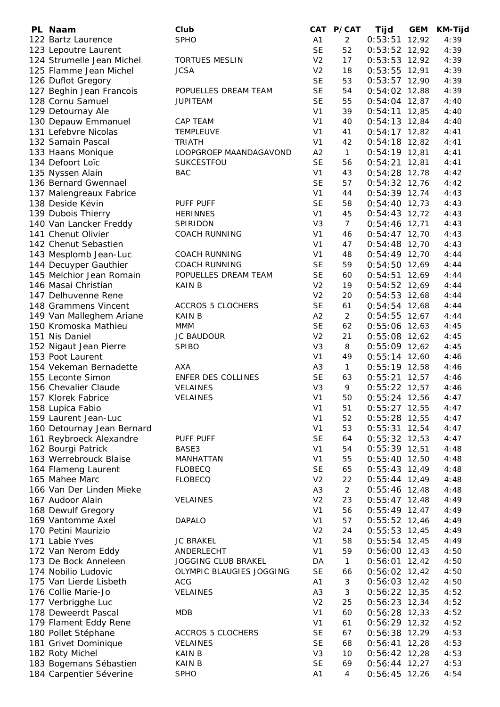| PL Naam                    | Club                     |                | CAT P/CAT       | Tijd            | <b>GEM</b> | <b>KM-Tijd</b> |
|----------------------------|--------------------------|----------------|-----------------|-----------------|------------|----------------|
| 122 Bartz Laurence         | <b>SPHO</b>              | A <sub>1</sub> | $\overline{2}$  | 0:53:51         | 12,92      | 4:39           |
| 123 Lepoutre Laurent       |                          | <b>SE</b>      | 52              | $0:53:52$ 12,92 |            | 4:39           |
| 124 Strumelle Jean Michel  | <b>TORTUES MESLIN</b>    | V <sub>2</sub> | 17              | $0:53:53$ 12,92 |            | 4:39           |
| 125 Flamme Jean Michel     | <b>JCSA</b>              | V <sub>2</sub> | 18              | $0:53:55$ 12,91 |            | 4:39           |
| 126 Duflot Gregory         |                          | <b>SE</b>      | 53              | $0:53:57$ 12,90 |            | 4:39           |
| 127 Beghin Jean Francois   | POPUELLES DREAM TEAM     | <b>SE</b>      | 54              | $0:54:02$ 12,88 |            | 4:39           |
| 128 Cornu Samuel           | <b>JUPITEAM</b>          | <b>SE</b>      | 55              | $0:54:04$ 12,87 |            | 4:40           |
| 129 Detournay Ale          |                          | V <sub>1</sub> | 39              | $0:54:11$ 12,85 |            | 4:40           |
| 130 Depauw Emmanuel        | <b>CAP TEAM</b>          | V <sub>1</sub> | 40              | $0:54:13$ 12,84 |            | 4:40           |
| 131 Lefebvre Nicolas       | <b>TEMPLEUVE</b>         | V <sub>1</sub> | 41              | $0:54:17$ 12,82 |            | 4:41           |
| 132 Samain Pascal          | <b>TRIATH</b>            | V <sub>1</sub> | 42              | $0:54:18$ 12,82 |            | 4:41           |
| 133 Haans Monique          | LOOPGROEP MAANDAGAVOND   | A <sub>2</sub> | $\mathbf{1}$    | $0:54:19$ 12,81 |            | 4:41           |
| 134 Defoort Loïc           | SUKCESTFOU               | <b>SE</b>      | 56              | $0:54:21$ 12,81 |            | 4:41           |
| 135 Nyssen Alain           | <b>BAC</b>               | V <sub>1</sub> | 43              | $0:54:28$ 12,78 |            | 4:42           |
| 136 Bernard Gwennael       |                          | <b>SE</b>      | 57              | $0:54:32$ 12,76 |            | 4:42           |
| 137 Malengreaux Fabrice    |                          | V <sub>1</sub> | 44              | $0:54:39$ 12,74 |            | 4:43           |
| 138 Deside Kévin           | PUFF PUFF                | <b>SE</b>      | 58              | $0:54:40$ 12,73 |            | 4:43           |
| 139 Dubois Thierry         | <b>HERINNES</b>          | V <sub>1</sub> | 45              | $0:54:43$ 12,72 |            | 4:43           |
| 140 Van Lancker Freddy     | SPIRIDON                 | V <sub>3</sub> | $7\overline{ }$ | $0:54:46$ 12,71 |            | 4:43           |
| 141 Chenut Olivier         | <b>COACH RUNNING</b>     | V <sub>1</sub> | 46              | $0:54:47$ 12,70 |            | 4:43           |
| 142 Chenut Sebastien       |                          | V <sub>1</sub> | 47              | $0:54:48$ 12,70 |            | 4:43           |
| 143 Mesplomb Jean-Luc      | <b>COACH RUNNING</b>     | V <sub>1</sub> | 48              | $0:54:49$ 12,70 |            | 4:44           |
| 144 Decuyper Gauthier      | <b>COACH RUNNING</b>     | <b>SE</b>      | 59              | $0:54:50$ 12,69 |            | 4:44           |
| 145 Melchior Jean Romain   | POPUELLES DREAM TEAM     | <b>SE</b>      | 60              | $0:54:51$ 12,69 |            | 4:44           |
| 146 Masai Christian        | <b>KAIN B</b>            | V <sub>2</sub> | 19              | $0:54:52$ 12,69 |            | 4:44           |
| 147 Delhuvenne Rene        |                          | V <sub>2</sub> | 20              | $0:54:53$ 12,68 |            | 4:44           |
| 148 Grammens Vincent       | <b>ACCROS 5 CLOCHERS</b> | <b>SE</b>      | 61              | $0:54:54$ 12,68 |            | 4:44           |
| 149 Van Malleghem Ariane   | <b>KAIN B</b>            | A2             | 2               | $0:54:55$ 12,67 |            | 4:44           |
| 150 Kromoska Mathieu       | MMM                      | <b>SE</b>      | 62              | $0:55:06$ 12,63 |            | 4:45           |
| 151 Nis Daniel             | <b>JC BAUDOUR</b>        | V <sub>2</sub> | 21              | $0:55:08$ 12,62 |            | 4:45           |
| 152 Nigaut Jean Pierre     | <b>SPIBO</b>             | V <sub>3</sub> | 8               | $0:55:09$ 12,62 |            | 4:45           |
| 153 Poot Laurent           |                          | V <sub>1</sub> | 49              | $0:55:14$ 12,60 |            | 4:46           |
| 154 Vekeman Bernadette     | AXA                      | A <sub>3</sub> | $\mathbf{1}$    | $0:55:19$ 12,58 |            | 4:46           |
| 155 Leconte Simon          | ENFER DES COLLINES       | <b>SE</b>      | 63              | $0:55:21$ 12,57 |            | 4:46           |
| 156 Chevalier Claude       | VELAINES                 | V <sub>3</sub> | 9               | $0:55:22$ 12,57 |            | 4:46           |
| 157 Klorek Fabrice         | VELAINES                 | V <sub>1</sub> | 50              | $0:55:24$ 12,56 |            | 4:47           |
| 158 Lupica Fabio           |                          | V <sub>1</sub> | 51              | $0:55:27$ 12,55 |            | 4:47           |
| 159 Laurent Jean-Luc       |                          | V <sub>1</sub> | 52              | $0:55:28$ 12,55 |            | 4:47           |
| 160 Detournay Jean Bernard |                          | V <sub>1</sub> | 53              | $0:55:31$ 12,54 |            | 4:47           |
| 161 Reybroeck Alexandre    | PUFF PUFF                | <b>SE</b>      | 64              | $0:55:32$ 12,53 |            | 4:47           |
| 162 Bourgi Patrick         | BASE3                    | V <sub>1</sub> | 54              | $0:55:39$ 12,51 |            | 4:48           |
| 163 Werrebrouck Blaise     | MANHATTAN                | V <sub>1</sub> | 55              | $0:55:40$ 12,50 |            | 4:48           |
| 164 Flameng Laurent        | <b>FLOBECQ</b>           | <b>SE</b>      | 65              | $0:55:43$ 12,49 |            | 4:48           |
| 165 Mahee Marc             | <b>FLOBECQ</b>           | V <sub>2</sub> | 22              | $0:55:44$ 12,49 |            | 4:48           |
| 166 Van Der Linden Mieke   |                          | A <sub>3</sub> | $\overline{2}$  | $0:55:46$ 12,48 |            | 4:48           |
| 167 Audoor Alain           | <b>VELAINES</b>          | V <sub>2</sub> | 23              | $0:55:47$ 12,48 |            | 4:49           |
| 168 Dewulf Gregory         |                          | V <sub>1</sub> | 56              | $0:55:49$ 12,47 |            | 4:49           |
| 169 Vantomme Axel          | <b>DAPALO</b>            | V <sub>1</sub> | 57              | $0:55:52$ 12,46 |            | 4:49           |
| 170 Petini Maurizio        |                          | V <sub>2</sub> | 24              | $0:55:53$ 12,45 |            | 4:49           |
| 171 Labie Yves             | <b>JC BRAKEL</b>         | V <sub>1</sub> | 58              | $0:55:54$ 12,45 |            | 4:49           |
| 172 Van Nerom Eddy         | ANDERLECHT               | V <sub>1</sub> | 59              | $0:56:00$ 12,43 |            | 4:50           |
| 173 De Bock Anneleen       | JOGGING CLUB BRAKEL      | DA             | $\mathbf{1}$    | $0:56:01$ 12,42 |            | 4:50           |
| 174 Nobilio Ludovic        | OLYMPIC BLAUGIES JOGGING | <b>SE</b>      | 66              | $0:56:02$ 12,42 |            | 4:50           |
| 175 Van Lierde Lisbeth     | <b>ACG</b>               | A1             | 3               | $0:56:03$ 12,42 |            | 4:50           |
| 176 Collie Marie-Jo        | VELAINES                 | A <sub>3</sub> | 3               | $0:56:22$ 12,35 |            | 4:52           |
| 177 Verbrigghe Luc         |                          | V <sub>2</sub> | 25              | $0:56:23$ 12,34 |            | 4:52           |
| 178 Deweerdt Pascal        | <b>MDB</b>               | V <sub>1</sub> | 60              | $0:56:28$ 12,33 |            | 4:52           |
| 179 Flament Eddy Rene      |                          | V <sub>1</sub> | 61              | $0:56:29$ 12,32 |            | 4:52           |
| 180 Pollet Stéphane        | <b>ACCROS 5 CLOCHERS</b> | <b>SE</b>      | 67              | $0:56:38$ 12,29 |            | 4:53           |
| 181 Grivet Dominique       | VELAINES                 | <b>SE</b>      | 68              | $0:56:41$ 12,28 |            | 4:53           |
| 182 Roty Michel            | <b>KAIN B</b>            | V <sub>3</sub> | 10              | $0:56:42$ 12,28 |            | 4:53           |
| 183 Bogemans Sébastien     | <b>KAIN B</b>            | <b>SE</b>      | 69              | $0:56:44$ 12,27 |            | 4:53           |
| 184 Carpentier Séverine    | <b>SPHO</b>              | A1             | 4               | $0:56:45$ 12,26 |            | 4:54           |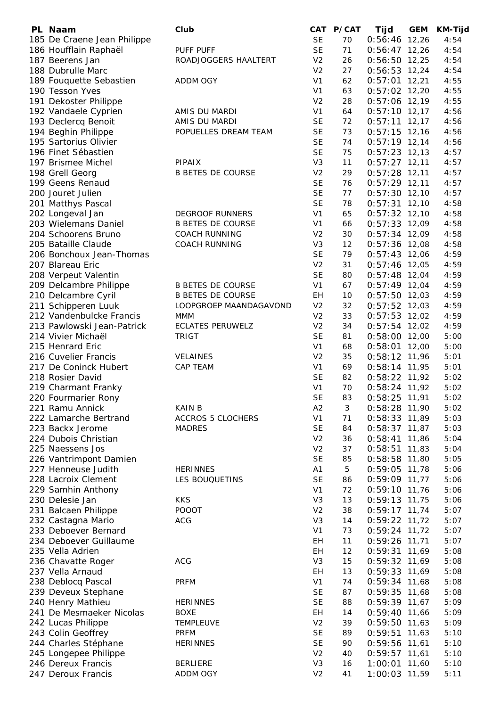| PL Naam                     | Club                     |                | CAT P/CAT | Tijd            | <b>GEM</b> | <b>KM-Tijd</b> |
|-----------------------------|--------------------------|----------------|-----------|-----------------|------------|----------------|
| 185 De Craene Jean Philippe |                          | <b>SE</b>      | 70        | $0:56:46$ 12,26 |            | 4:54           |
| 186 Houfflain Raphaël       | PUFF PUFF                | <b>SE</b>      | 71        | $0:56:47$ 12,26 |            | 4:54           |
| 187 Beerens Jan             | ROADJOGGERS HAALTERT     | V <sub>2</sub> | 26        | $0:56:50$ 12,25 |            | 4:54           |
| 188 Dubrulle Marc           |                          | V <sub>2</sub> | 27        | $0:56:53$ 12,24 |            | 4:54           |
| 189 Fouquette Sebastien     | ADDM OGY                 | V <sub>1</sub> | 62        | $0:57:01$ 12,21 |            | 4:55           |
| 190 Tesson Yves             |                          | V <sub>1</sub> | 63        | $0:57:02$ 12,20 |            | 4:55           |
| 191 Dekoster Philippe       |                          | V <sub>2</sub> | 28        | $0:57:06$ 12,19 |            | 4:55           |
| 192 Vandaele Cyprien        | AMIS DU MARDI            | V <sub>1</sub> | 64        | $0:57:10$ 12,17 |            | 4:56           |
| 193 Declercq Benoit         | AMIS DU MARDI            | <b>SE</b>      | 72        | $0:57:11$ 12,17 |            | 4:56           |
| 194 Beghin Philippe         | POPUELLES DREAM TEAM     | <b>SE</b>      | 73        | $0:57:15$ 12,16 |            | 4:56           |
| 195 Sartorius Olivier       |                          | <b>SE</b>      | 74        | $0:57:19$ 12,14 |            | 4:56           |
| 196 Finet Sébastien         |                          | <b>SE</b>      | 75        | $0:57:23$ 12,13 |            | 4:57           |
| 197 Brismee Michel          | <b>PIPAIX</b>            | V <sub>3</sub> | 11        | $0:57:27$ 12,11 |            | 4:57           |
| 198 Grell Georg             | <b>B BETES DE COURSE</b> | V <sub>2</sub> | 29        | $0:57:28$ 12,11 |            | 4:57           |
| 199 Geens Renaud            |                          | <b>SE</b>      | 76        | $0:57:29$ 12,11 |            | 4:57           |
| 200 Jouret Julien           |                          | <b>SE</b>      | 77        | $0:57:30$ 12,10 |            | 4:57           |
| 201 Matthys Pascal          |                          | <b>SE</b>      | 78        | $0:57:31$ 12,10 |            | 4:58           |
| 202 Longeval Jan            | <b>DEGROOF RUNNERS</b>   | V <sub>1</sub> | 65        | $0:57:32$ 12,10 |            | 4:58           |
| 203 Wielemans Daniel        | <b>B BETES DE COURSE</b> | V <sub>1</sub> | 66        | $0:57:33$ 12,09 |            | 4:58           |
| 204 Schoorens Bruno         | <b>COACH RUNNING</b>     | V <sub>2</sub> | 30        | $0:57:34$ 12,09 |            | 4:58           |
| 205 Bataille Claude         | <b>COACH RUNNING</b>     | V <sub>3</sub> | 12        | $0:57:36$ 12,08 |            | 4:58           |
| 206 Bonchoux Jean-Thomas    |                          | <b>SE</b>      | 79        | $0:57:43$ 12,06 |            | 4:59           |
| 207 Blareau Eric            |                          | V <sub>2</sub> | 31        | $0:57:46$ 12,05 |            | 4:59           |
| 208 Verpeut Valentin        |                          | <b>SE</b>      | 80        | $0:57:48$ 12,04 |            | 4:59           |
| 209 Delcambre Philippe      | <b>B BETES DE COURSE</b> | V <sub>1</sub> | 67        | $0:57:49$ 12,04 |            | 4:59           |
| 210 Delcambre Cyril         | <b>B BETES DE COURSE</b> | EH             | 10        | $0:57:50$ 12,03 |            | 4:59           |
| 211 Schipperen Luuk         | LOOPGROEP MAANDAGAVOND   | V <sub>2</sub> | 32        | $0:57:52$ 12,03 |            | 4:59           |
| 212 Vandenbulcke Francis    | <b>MMM</b>               | V <sub>2</sub> | 33        | $0:57:53$ 12,02 |            | 4:59           |
| 213 Pawlowski Jean-Patrick  | <b>ECLATES PERUWELZ</b>  | V <sub>2</sub> | 34        | $0:57:54$ 12,02 |            | 4:59           |
| 214 Vivier Michaël          | <b>TRIGT</b>             | <b>SE</b>      | 81        | $0:58:00$ 12,00 |            | 5:00           |
| 215 Henrard Eric            |                          | V <sub>1</sub> | 68        | $0:58:01$ 12,00 |            | 5:00           |
| 216 Cuvelier Francis        | <b>VELAINES</b>          | V <sub>2</sub> | 35        | $0:58:12$ 11,96 |            | 5:01           |
| 217 De Coninck Hubert       | CAP TEAM                 | V <sub>1</sub> | 69        | $0:58:14$ 11,95 |            | 5:01           |
| 218 Rosier David            |                          | <b>SE</b>      | 82        | 0:58:22 11,92   |            | 5:02           |
| 219 Charmant Franky         |                          | V <sub>1</sub> | 70        | $0:58:24$ 11,92 |            | 5:02           |
| 220 Fourmarier Rony         |                          | <b>SE</b>      | 83        | $0:58:25$ 11,91 |            | 5:02           |
| 221 Ramu Annick             | <b>KAIN B</b>            | A <sub>2</sub> | 3         | $0:58:28$ 11,90 |            | 5:02           |
| 222 Lamarche Bertrand       | <b>ACCROS 5 CLOCHERS</b> | V <sub>1</sub> | 71        | $0:58:33$ 11,89 |            | 5:03           |
| 223 Backx Jerome            | <b>MADRES</b>            | <b>SE</b>      | 84        | $0:58:37$ 11,87 |            | 5:03           |
| 224 Dubois Christian        |                          | V <sub>2</sub> | 36        | 0:58:41         | 11,86      | 5:04           |
| 225 Naessens Jos            |                          | V <sub>2</sub> | 37        | 0:58:51         | 11,83      | 5:04           |
| 226 Vantrimpont Damien      |                          | <b>SE</b>      | 85        | $0:58:58$ 11,80 |            | 5:05           |
| 227 Henneuse Judith         | <b>HERINNES</b>          | A <sub>1</sub> | 5         | $0:59:05$ 11,78 |            | 5:06           |
| 228 Lacroix Clement         | LES BOUQUETINS           | <b>SE</b>      | 86        | 0:59:09 11,77   |            | 5:06           |
| 229 Samhin Anthony          |                          | V <sub>1</sub> | 72        | $0:59:10$ 11,76 |            | 5:06           |
| 230 Delesie Jan             | <b>KKS</b>               | V <sub>3</sub> | 13        | $0:59:13$ 11,75 |            | 5:06           |
| 231 Balcaen Philippe        | <b>POOOT</b>             | V <sub>2</sub> | 38        | $0:59:17$ 11,74 |            | 5:07           |
| 232 Castagna Mario          | <b>ACG</b>               | V <sub>3</sub> | 14        | $0:59:22$ 11,72 |            | 5:07           |
| 233 Deboever Bernard        |                          | V <sub>1</sub> | 73        | $0:59:24$ 11,72 |            | 5:07           |
| 234 Deboever Guillaume      |                          | EН             | 11        | $0:59:26$ 11,71 |            | 5:07           |
| 235 Vella Adrien            |                          | EH             | 12        | $0:59:31$ 11,69 |            | 5:08           |
| 236 Chavatte Roger          | <b>ACG</b>               | V <sub>3</sub> | 15        | 0:59:32 11,69   |            | 5:08           |
| 237 Vella Arnaud            |                          | EH             | 13        | $0:59:33$ 11,69 |            | 5:08           |
| 238 Deblocq Pascal          | <b>PRFM</b>              | V <sub>1</sub> | 74        | $0:59:34$ 11,68 |            | 5:08           |
| 239 Deveux Stephane         |                          | <b>SE</b>      | 87        | $0:59:35$ 11,68 |            | 5:08           |
| 240 Henry Mathieu           | <b>HERINNES</b>          | <b>SE</b>      | 88        | $0:59:39$ 11,67 |            | 5:09           |
| 241 De Mesmaeker Nicolas    | <b>BOXE</b>              | EH             | 14        | $0:59:40$ 11,66 |            | 5:09           |
| 242 Lucas Philippe          | TEMPLEUVE                | V <sub>2</sub> | 39        | $0:59:50$ 11,63 |            | 5:09           |
| 243 Colin Geoffrey          | <b>PRFM</b>              | <b>SE</b>      | 89        | $0:59:51$ 11,63 |            | 5:10           |
| 244 Charles Stéphane        | <b>HERINNES</b>          | <b>SE</b>      | 90        | $0:59:56$ 11,61 |            | 5:10           |
| 245 Longepee Philippe       |                          | V <sub>2</sub> | 40        | $0:59:57$ 11,61 |            | 5:10           |
| 246 Dereux Francis          | <b>BERLIERE</b>          | V <sub>3</sub> | 16        | 1:00:01 11,60   |            | 5:10           |
| 247 Deroux Francis          | ADDM OGY                 | V <sub>2</sub> | 41        | 1:00:03 11,59   |            | 5:11           |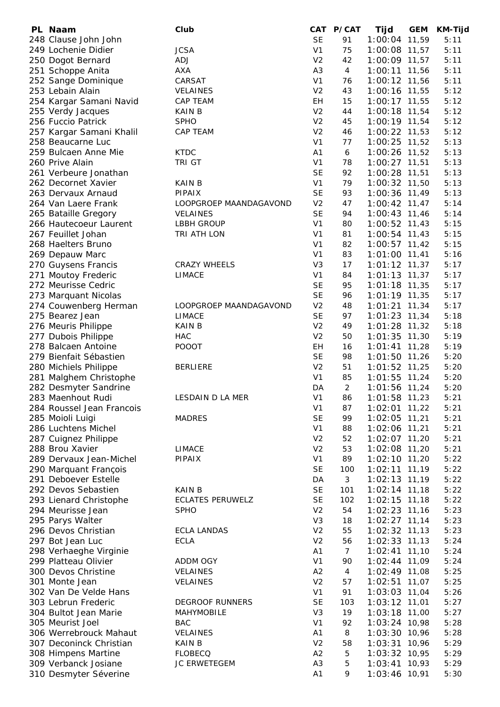| PL Naam                                 | Club                    |                | CAT P/CAT      | Tijd            | <b>GEM</b> | KM-Tijd |
|-----------------------------------------|-------------------------|----------------|----------------|-----------------|------------|---------|
| 248 Clause John John                    |                         | <b>SE</b>      | 91             | 1:00:04 11,59   |            | 5:11    |
| 249 Lochenie Didier                     | <b>JCSA</b>             | V <sub>1</sub> | 75             | $1:00:08$ 11,57 |            | 5:11    |
| 250 Dogot Bernard                       | ADJ                     | V <sub>2</sub> | 42             | 1:00:09 11,57   |            | 5:11    |
| 251 Schoppe Anita                       | <b>AXA</b>              | A <sub>3</sub> | 4              | 1:00:11 11,56   |            | 5:11    |
| 252 Sange Dominique                     | CARSAT                  | V <sub>1</sub> | 76             | $1:00:12$ 11,56 |            | 5:11    |
| 253 Lebain Alain                        | <b>VELAINES</b>         | V <sub>2</sub> | 43             | 1:00:16 11,55   |            | 5:12    |
| 254 Kargar Samani Navid                 | CAP TEAM                | EH             | 15             | $1:00:17$ 11,55 |            | 5:12    |
|                                         | <b>KAIN B</b>           | V <sub>2</sub> | 44             | $1:00:18$ 11,54 |            | 5:12    |
| 255 Verdy Jacques<br>256 Fuccio Patrick | <b>SPHO</b>             | V <sub>2</sub> | 45             |                 |            | 5:12    |
|                                         |                         |                |                | 1:00:19 11,54   |            |         |
| 257 Kargar Samani Khalil                | CAP TEAM                | V <sub>2</sub> | 46             | 1:00:22 11,53   |            | 5:12    |
| 258 Beaucarne Luc                       |                         | V <sub>1</sub> | 77             | 1:00:25 11,52   |            | 5:13    |
| 259 Bulcaen Anne Mie                    | <b>KTDC</b>             | A <sub>1</sub> | 6              | 1:00:26 11,52   |            | 5:13    |
| 260 Prive Alain                         | TRI GT                  | V <sub>1</sub> | 78             | $1:00:27$ 11,51 |            | 5:13    |
| 261 Verbeure Jonathan                   |                         | <b>SE</b>      | 92             | 1:00:28 11,51   |            | 5:13    |
| 262 Decornet Xavier                     | <b>KAIN B</b>           | V <sub>1</sub> | 79             | 1:00:32 11,50   |            | 5:13    |
| 263 Dervaux Arnaud                      | <b>PIPAIX</b>           | <b>SE</b>      | 93             | 1:00:36 11,49   |            | 5:13    |
| 264 Van Laere Frank                     | LOOPGROEP MAANDAGAVOND  | V <sub>2</sub> | 47             | $1:00:42$ 11,47 |            | 5:14    |
| 265 Bataille Gregory                    | <b>VELAINES</b>         | <b>SE</b>      | 94             | $1:00:43$ 11,46 |            | 5:14    |
| 266 Hautecoeur Laurent                  | LBBH GROUP              | V1             | 80             | $1:00:52$ 11,43 |            | 5:15    |
| 267 Feuillet Johan                      | TRI ATH LON             | V <sub>1</sub> | 81             | $1:00:54$ 11,43 |            | 5:15    |
| 268 Haelters Bruno                      |                         | V <sub>1</sub> | 82             | $1:00:57$ 11,42 |            | 5:15    |
| 269 Depauw Marc                         |                         | V <sub>1</sub> | 83             | $1:01:00$ 11,41 |            | 5:16    |
| 270 Guysens Francis                     | <b>CRAZY WHEELS</b>     | V <sub>3</sub> | 17             | $1:01:12$ 11,37 |            | 5:17    |
| 271 Moutoy Frederic                     | <b>LIMACE</b>           | V <sub>1</sub> | 84             | $1:01:13$ 11,37 |            | 5:17    |
| 272 Meurisse Cedric                     |                         | <b>SE</b>      | 95             | $1:01:18$ 11,35 |            | 5:17    |
|                                         |                         |                |                |                 |            |         |
| 273 Marquant Nicolas                    |                         | <b>SE</b>      | 96             | $1:01:19$ 11,35 |            | 5:17    |
| 274 Couwenberg Herman                   | LOOPGROEP MAANDAGAVOND  | V <sub>2</sub> | 48             | $1:01:21$ 11,34 |            | 5:17    |
| 275 Bearez Jean                         | <b>LIMACE</b>           | <b>SE</b>      | 97             | $1:01:23$ 11,34 |            | 5:18    |
| 276 Meuris Philippe                     | KAIN B                  | V <sub>2</sub> | 49             | $1:01:28$ 11,32 |            | 5:18    |
| 277 Dubois Philippe                     | <b>HAC</b>              | V <sub>2</sub> | 50             | $1:01:35$ 11,30 |            | 5:19    |
| 278 Balcaen Antoine                     | <b>POOOT</b>            | EH             | 16             | $1:01:41$ 11,28 |            | 5:19    |
| 279 Bienfait Sébastien                  |                         | <b>SE</b>      | 98             | 1:01:50 11,26   |            | 5:20    |
| 280 Michiels Philippe                   | <b>BERLIERE</b>         | V <sub>2</sub> | 51             | $1:01:52$ 11,25 |            | 5:20    |
| 281 Malghem Christophe                  |                         | V <sub>1</sub> | 85             | $1:01:55$ 11,24 |            | 5:20    |
| 282 Desmyter Sandrine                   |                         | DA             | $\overline{2}$ | 1:01:56 11,24   |            | 5:20    |
| 283 Maenhout Rudi                       | LESDAIN D LA MER        | V <sub>1</sub> | 86             | 1:01:58 11,23   |            | 5:21    |
| 284 Roussel Jean Francois               |                         | V <sub>1</sub> | 87             | 1:02:01 11,22   |            | 5:21    |
| 285 Moioli Luigi                        | <b>MADRES</b>           | <b>SE</b>      | 99             | 1:02:05 11,21   |            | 5:21    |
| 286 Luchtens Michel                     |                         | V <sub>1</sub> | 88             | 1:02:06 11,21   |            | 5:21    |
| 287 Cuignez Philippe                    |                         | V <sub>2</sub> | 52             | 1:02:07 11,20   |            | 5:21    |
| 288 Brou Xavier                         | <b>LIMACE</b>           | V <sub>2</sub> | 53             | 1:02:08 11,20   |            | 5:21    |
|                                         | <b>PIPAIX</b>           | V <sub>1</sub> | 89             |                 |            | 5:22    |
| 289 Dervaux Jean-Michel                 |                         |                |                | 1:02:10 11,20   |            |         |
| 290 Marquant François                   |                         | <b>SE</b>      | 100            | $1:02:11$ 11,19 |            | 5:22    |
| 291 Deboever Estelle                    |                         | DA             | 3              | $1:02:13$ 11,19 |            | 5:22    |
| 292 Devos Sebastien                     | <b>KAIN B</b>           | <b>SE</b>      | 101            | $1:02:14$ 11,18 |            | 5:22    |
| 293 Lienard Christophe                  | <b>ECLATES PERUWELZ</b> | <b>SE</b>      | 102            | $1:02:15$ 11,18 |            | 5:22    |
| 294 Meurisse Jean                       | <b>SPHO</b>             | V <sub>2</sub> | 54             | $1:02:23$ 11,16 |            | 5:23    |
| 295 Parys Walter                        |                         | V <sub>3</sub> | 18             | $1:02:27$ 11,14 |            | 5:23    |
| 296 Devos Christian                     | ECLA LANDAS             | V <sub>2</sub> | 55             | $1:02:32$ 11,13 |            | 5:23    |
| 297 Bot Jean Luc                        | <b>ECLA</b>             | V <sub>2</sub> | 56             | $1:02:33$ 11,13 |            | 5:24    |
| 298 Verhaeghe Virginie                  |                         | A1             | 7              | $1:02:41$ 11,10 |            | 5:24    |
| 299 Platteau Olivier                    | ADDM OGY                | V <sub>1</sub> | 90             | $1:02:44$ 11,09 |            | 5:24    |
| 300 Devos Christine                     | <b>VELAINES</b>         | A <sub>2</sub> | 4              | $1:02:49$ 11,08 |            | 5:25    |
| 301 Monte Jean                          | <b>VELAINES</b>         | V <sub>2</sub> | 57             | $1:02:51$ 11,07 |            | 5:25    |
| 302 Van De Velde Hans                   |                         | V <sub>1</sub> | 91             | 1:03:03 11,04   |            | 5:26    |
| 303 Lebrun Frederic                     | <b>DEGROOF RUNNERS</b>  | <b>SE</b>      | 103            | $1:03:12$ 11,01 |            | 5:27    |
| 304 Bultot Jean Marie                   | <b>MAHYMOBILE</b>       | V <sub>3</sub> | 19             | 1:03:18 11,00   |            | 5:27    |
|                                         | <b>BAC</b>              |                |                |                 |            |         |
| 305 Meurist Joel                        |                         | V <sub>1</sub> | 92             | $1:03:24$ 10,98 |            | 5:28    |
| 306 Werrebrouck Mahaut                  | <b>VELAINES</b>         | A1             | 8              | 1:03:30 10,96   |            | 5:28    |
| 307 Deconinck Christian                 | <b>KAIN B</b>           | V <sub>2</sub> | 58             | $1:03:31$ 10,96 |            | 5:29    |
| 308 Himpens Martine                     | <b>FLOBECQ</b>          | A2             | 5              | $1:03:32$ 10,95 |            | 5:29    |
| 309 Verbanck Josiane                    | JC ERWETEGEM            | A <sub>3</sub> | 5              | $1:03:41$ 10,93 |            | 5:29    |
| 310 Desmyter Séverine                   |                         | A <sub>1</sub> | 9              | 1:03:46 10,91   |            | 5:30    |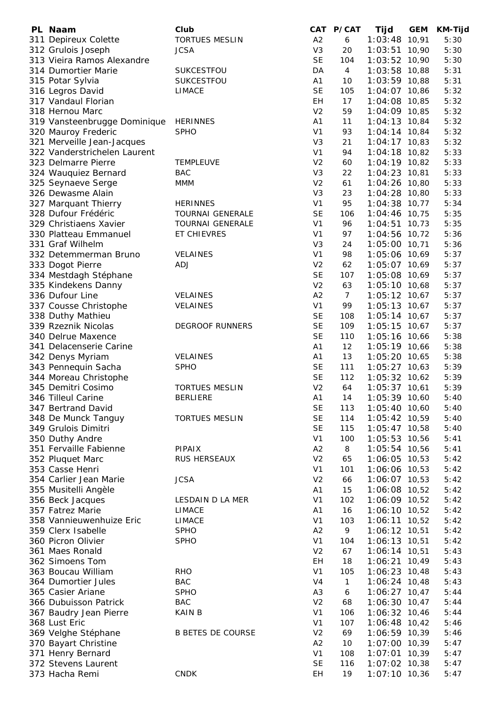| PL Naam                      | Club                     |                | CAT P/CAT      | Tijd            | <b>GEM</b> | KM-Tijd |
|------------------------------|--------------------------|----------------|----------------|-----------------|------------|---------|
| 311 Depireux Colette         | <b>TORTUES MESLIN</b>    | A <sub>2</sub> | 6              | 1:03:48         | 10,91      | 5:30    |
| 312 Grulois Joseph           | <b>JCSA</b>              | V <sub>3</sub> | 20             | 1:03:51 10,90   |            | 5:30    |
| 313 Vieira Ramos Alexandre   |                          | <b>SE</b>      | 104            | 1:03:52 10,90   |            | 5:30    |
| 314 Dumortier Marie          | SUKCESTFOU               | DA             | $\overline{4}$ | 1:03:58 10,88   |            | 5:31    |
| 315 Potar Sylvia             | SUKCESTFOU               | A1             | 10             | 1:03:59 10,88   |            | 5:31    |
| 316 Legros David             | <b>LIMACE</b>            | <b>SE</b>      | 105            | 1:04:07 10,86   |            | 5:32    |
| 317 Vandaul Florian          |                          | <b>EH</b>      | 17             | 1:04:08 10,85   |            | 5:32    |
| 318 Hernou Marc              |                          | V <sub>2</sub> | 59             | 1:04:09 10,85   |            | 5:32    |
| 319 Vansteenbrugge Dominique | <b>HERINNES</b>          | A <sub>1</sub> | 11             | $1:04:13$ 10,84 |            | 5:32    |
| 320 Mauroy Frederic          | <b>SPHO</b>              | V <sub>1</sub> | 93             | $1:04:14$ 10,84 |            | 5:32    |
| 321 Merveille Jean-Jacques   |                          | V <sub>3</sub> | 21             | $1:04:17$ 10,83 |            | 5:32    |
| 322 Vanderstrichelen Laurent |                          | V <sub>1</sub> | 94             | $1:04:18$ 10,82 |            | 5:33    |
| 323 Delmarre Pierre          | <b>TEMPLEUVE</b>         | V <sub>2</sub> | 60             | 1:04:19 10,82   |            | 5:33    |
| 324 Wauquiez Bernard         | <b>BAC</b>               | V <sub>3</sub> | 22             | $1:04:23$ 10,81 |            | 5:33    |
| 325 Seynaeve Serge           | <b>MMM</b>               | V <sub>2</sub> | 61             | 1:04:26 10,80   |            | 5:33    |
| 326 Dewasme Alain            |                          | V <sub>3</sub> | 23             | $1:04:28$ 10,80 |            | 5:33    |
| 327 Marquant Thierry         | <b>HERINNES</b>          | V <sub>1</sub> | 95             | 1:04:38 10,77   |            | 5:34    |
| 328 Dufour Frédéric          | <b>TOURNAI GENERALE</b>  | <b>SE</b>      | 106            | 1:04:46 10,75   |            | 5:35    |
| 329 Christiaens Xavier       | <b>TOURNAI GENERALE</b>  | V <sub>1</sub> | 96             | $1:04:51$ 10,73 |            | 5:35    |
| 330 Platteau Emmanuel        | ET CHIEVRES              | V <sub>1</sub> | 97             | 1:04:56 10,72   |            | 5:36    |
| 331 Graf Wilhelm             |                          | V <sub>3</sub> | 24             | 1:05:00 10,71   |            | 5:36    |
| 332 Detemmerman Bruno        | VELAINES                 | V <sub>1</sub> | 98             | 1:05:06 10,69   |            | 5:37    |
| 333 Dogot Pierre             | <b>ADJ</b>               | V <sub>2</sub> | 62             | 1:05:07 10,69   |            | 5:37    |
| 334 Mestdagh Stéphane        |                          | <b>SE</b>      | 107            | 1:05:08 10,69   |            | 5:37    |
| 335 Kindekens Danny          |                          | V <sub>2</sub> | 63             | 1:05:10 10,68   |            | 5:37    |
| 336 Dufour Line              | VELAINES                 | A2             | $\overline{7}$ | $1:05:12$ 10,67 |            | 5:37    |
| 337 Cousse Christophe        | VELAINES                 | V <sub>1</sub> | 99             | $1:05:13$ 10,67 |            | 5:37    |
| 338 Duthy Mathieu            |                          | <b>SE</b>      | 108            | $1:05:14$ 10,67 |            | 5:37    |
| 339 Rzeznik Nicolas          | <b>DEGROOF RUNNERS</b>   | <b>SE</b>      | 109            | $1:05:15$ 10,67 |            | 5:37    |
| 340 Delrue Maxence           |                          | <b>SE</b>      | 110            | 1:05:16 10,66   |            | 5:38    |
| 341 Delacenserie Carine      |                          | A1             | 12             | 1:05:19 10,66   |            | 5:38    |
| 342 Denys Myriam             | <b>VELAINES</b>          | A1             | 13             | 1:05:20 10,65   |            | 5:38    |
| 343 Pennequin Sacha          | <b>SPHO</b>              | <b>SE</b>      | 111            | $1:05:27$ 10,63 |            | 5:39    |
| 344 Moreau Christophe        |                          | <b>SE</b>      | 112            | 1:05:32 10,62   |            | 5:39    |
| 345 Demitri Cosimo           | <b>TORTUES MESLIN</b>    | V <sub>2</sub> | 64             | $1:05:37$ 10,61 |            | 5:39    |
| 346 Tilleul Carine           | <b>BERLIERE</b>          | A1             | 14             | 1:05:39 10,60   |            | 5:40    |
| 347 Bertrand David           |                          | <b>SE</b>      | 113            | $1:05:40$ 10,60 |            | 5:40    |
| 348 De Munck Tanguy          | <b>TORTUES MESLIN</b>    | <b>SE</b>      | 114            | 1:05:42 10,59   |            | 5:40    |
| 349 Grulois Dimitri          |                          | <b>SE</b>      | 115            | $1:05:47$ 10,58 |            | 5:40    |
| 350 Duthy Andre              |                          | V <sub>1</sub> | 100            | 1:05:53 10,56   |            | 5:41    |
| 351 Fervaille Fabienne       | <b>PIPAIX</b>            | A2             | 8              | 1:05:54 10,56   |            | 5:41    |
| 352 Pluquet Marc             | RUS HERSEAUX             | V <sub>2</sub> | 65             | 1:06:05 10,53   |            | 5:42    |
| 353 Casse Henri              |                          | V <sub>1</sub> | 101            | 1:06:06 10,53   |            | 5:42    |
| 354 Carlier Jean Marie       | <b>JCSA</b>              | V <sub>2</sub> | 66             | 1:06:07 10,53   |            | 5:42    |
| 355 Musitelli Angèle         |                          | A1             | 15             | 1:06:08 10,52   |            | 5:42    |
| 356 Beck Jacques             | LESDAIN D LA MER         | V <sub>1</sub> | 102            | 1:06:09 10,52   |            | 5:42    |
| 357 Fatrez Marie             | <b>LIMACE</b>            | A1             | 16             | 1:06:10 10,52   |            | 5:42    |
| 358 Vannieuwenhuize Eric     | <b>LIMACE</b>            | V <sub>1</sub> | 103            | 1:06:11 10,52   |            | 5:42    |
| 359 Clerx Isabelle           | <b>SPHO</b>              | A2             | 9              | $1:06:12$ 10,51 |            | 5:42    |
| 360 Picron Olivier           | <b>SPHO</b>              | V <sub>1</sub> | 104            | 1:06:13 10,51   |            | 5:42    |
| 361 Maes Ronald              |                          | V <sub>2</sub> | 67             | 1:06:14 10,51   |            | 5:43    |
| 362 Simoens Tom              |                          | EН             | 18             | $1:06:21$ 10,49 |            | 5:43    |
| 363 Boucau William           | <b>RHO</b>               | V <sub>1</sub> | 105            | $1:06:23$ 10,48 |            | 5:43    |
| 364 Dumortier Jules          | <b>BAC</b>               | V4             | $\mathbf{1}$   | 1:06:24 10,48   |            | 5:43    |
| 365 Casier Ariane            | <b>SPHO</b>              | A <sub>3</sub> | 6              | $1:06:27$ 10,47 |            | 5:44    |
| 366 Dubuisson Patrick        | <b>BAC</b>               | V <sub>2</sub> | 68             | $1:06:30$ 10,47 |            | 5:44    |
| 367 Baudry Jean Pierre       | <b>KAIN B</b>            | V <sub>1</sub> | 106            | $1:06:32$ 10,46 |            | 5:44    |
| 368 Lust Eric                |                          | V <sub>1</sub> | 107            | $1:06:48$ 10,42 |            | 5:46    |
| 369 Velghe Stéphane          | <b>B BETES DE COURSE</b> | V <sub>2</sub> | 69             | 1:06:59 10,39   |            | 5:46    |
| 370 Bayart Christine         |                          | A2             | 10             | 1:07:00 10,39   |            | 5:47    |
| 371 Henry Bernard            |                          | V <sub>1</sub> | 108            | $1:07:01$ 10,39 |            | 5:47    |
| 372 Stevens Laurent          |                          | <b>SE</b>      | 116            | $1:07:02$ 10,38 |            | 5:47    |
| 373 Hacha Remi               | <b>CNDK</b>              | EH             | 19             | $1:07:10$ 10,36 |            | 5:47    |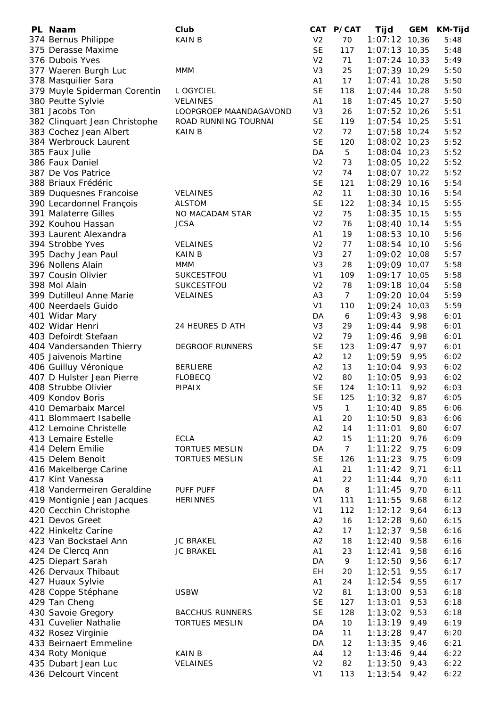| PL Naam                       | Club                   |                | CAT P/CAT       | Tijd            | <b>GEM</b> | <b>KM-Tijd</b> |
|-------------------------------|------------------------|----------------|-----------------|-----------------|------------|----------------|
| 374 Bernus Philippe           | <b>KAIN B</b>          | V <sub>2</sub> | 70              | $1:07:12$ 10,36 |            | 5:48           |
| 375 Derasse Maxime            |                        | <b>SE</b>      | 117             | $1:07:13$ 10,35 |            | 5:48           |
| 376 Dubois Yves               |                        | V <sub>2</sub> | 71              | $1:07:24$ 10,33 |            | 5:49           |
| 377 Waeren Burgh Luc          | <b>MMM</b>             | V3             | 25              | 1:07:39 10,29   |            | 5:50           |
| 378 Masquilier Sara           |                        | A1             | 17              | $1:07:41$ 10,28 |            | 5:50           |
|                               |                        | <b>SE</b>      | 118             | $1:07:44$ 10,28 |            | 5:50           |
| 379 Muyle Spiderman Corentin  | L OGYCIEL              |                |                 |                 |            |                |
| 380 Peutte Sylvie             | <b>VELAINES</b>        | A1             | 18              | $1:07:45$ 10,27 |            | 5:50           |
| 381 Jacobs Ton                | LOOPGROEP MAANDAGAVOND | V <sub>3</sub> | 26              | 1:07:52 10,26   |            | 5:51           |
| 382 Clinquart Jean Christophe | ROAD RUNNING TOURNAI   | <b>SE</b>      | 119             | $1:07:54$ 10,25 |            | 5:51           |
| 383 Cochez Jean Albert        | <b>KAIN B</b>          | V <sub>2</sub> | 72              | 1:07:58 10,24   |            | 5:52           |
| 384 Werbrouck Laurent         |                        | <b>SE</b>      | 120             | 1:08:02 10,23   |            | 5:52           |
| 385 Faux Julie                |                        | DA             | 5               | $1:08:04$ 10,23 |            | 5:52           |
| 386 Faux Daniel               |                        | V <sub>2</sub> | 73              | 1:08:05 10,22   |            | 5:52           |
| 387 De Vos Patrice            |                        | V <sub>2</sub> | 74              | 1:08:07 10,22   |            | 5:52           |
| 388 Briaux Frédéric           |                        | <b>SE</b>      | 121             | 1:08:29 10,16   |            | 5:54           |
| 389 Duquesnes Francoise       | <b>VELAINES</b>        | A2             | 11              | 1:08:30 10,16   |            | 5:54           |
| 390 Lecardonnel François      | <b>ALSTOM</b>          | <b>SE</b>      | 122             | 1:08:34 10,15   |            | 5:55           |
|                               |                        |                |                 |                 |            |                |
| 391 Malaterre Gilles          | NO MACADAM STAR        | V <sub>2</sub> | 75              | $1:08:35$ 10,15 |            | 5:55           |
| 392 Kouhou Hassan             | <b>JCSA</b>            | V <sub>2</sub> | 76              | $1:08:40$ 10,14 |            | 5:55           |
| 393 Laurent Alexandra         |                        | A1             | 19              | $1:08:53$ 10,10 |            | 5:56           |
| 394 Strobbe Yves              | <b>VELAINES</b>        | V <sub>2</sub> | 77              | 1:08:54 10,10   |            | 5:56           |
| 395 Dachy Jean Paul           | <b>KAIN B</b>          | V <sub>3</sub> | 27              | 1:09:02 10,08   |            | 5:57           |
| 396 Nollens Alain             | <b>MMM</b>             | V <sub>3</sub> | 28              | 1:09:09 10,07   |            | 5:58           |
| 397 Cousin Olivier            | SUKCESTFOU             | V <sub>1</sub> | 109             | $1:09:17$ 10,05 |            | 5:58           |
| 398 Mol Alain                 | SUKCESTFOU             | V <sub>2</sub> | 78              | 1:09:18 10,04   |            | 5:58           |
| 399 Dutilleul Anne Marie      | <b>VELAINES</b>        | A <sub>3</sub> | $7\overline{ }$ | 1:09:20 10,04   |            | 5:59           |
| 400 Neerdaels Guido           |                        | V <sub>1</sub> | 110             | $1:09:24$ 10,03 |            | 5:59           |
| 401 Widar Mary                |                        | DA             | 6               | 1:09:43         | 9,98       | 6:01           |
| 402 Widar Henri               | 24 HEURES D ATH        | V <sub>3</sub> | 29              | 1:09:44         | 9,98       | 6:01           |
|                               |                        |                |                 |                 |            |                |
| 403 Defoirdt Stefaan          |                        | V <sub>2</sub> | 79              | 1:09:46         | 9,98       | 6:01           |
| 404 Vandersanden Thierry      | <b>DEGROOF RUNNERS</b> | <b>SE</b>      | 123             | 1:09:47         | 9,97       | 6:01           |
| 405 Jaivenois Martine         |                        | A2             | 12              | $1:09:59$ 9,95  |            | 6:02           |
| 406 Guilluy Véronique         | <b>BERLIERE</b>        | A2             | 13              | 1:10:04         | 9,93       | 6:02           |
| 407 D Hulster Jean Pierre     | <b>FLOBECQ</b>         | V <sub>2</sub> | 80              | 1:10:05         | 9,93       | 6:02           |
| 408 Strubbe Olivier           | <b>PIPAIX</b>          | <b>SE</b>      | 124             | 1:10:11         | 9,92       | 6:03           |
| 409 Kondov Boris              |                        | <b>SE</b>      | 125             | 1:10:32         | 9,87       | 6:05           |
| 410 Demarbaix Marcel          |                        | V <sub>5</sub> | $\mathbf{1}$    | 1:10:40         | 9,85       | 6:06           |
| 411 Blommaert Isabelle        |                        | A <sub>1</sub> | 20              | 1:10:50         | 9,83       | 6:06           |
| 412 Lemoine Christelle        |                        | A2             | 14              | 1:11:01         | 9,80       | 6:07           |
| 413 Lemaire Estelle           | <b>ECLA</b>            | A2             | 15              | 1:11:20         | 9,76       | 6:09           |
| 414 Delem Emilie              | <b>TORTUES MESLIN</b>  | DA             | $\overline{7}$  | 1:11:22         | 9,75       | 6:09           |
| 415 Delem Benoit              | <b>TORTUES MESLIN</b>  | <b>SE</b>      | 126             | 1:11:23         | 9,75       | 6:09           |
|                               |                        | A <sub>1</sub> | 21              |                 |            | 6:11           |
| 416 Makelberge Carine         |                        |                |                 | 1:11:42         | 9,71       |                |
| 417 Kint Vanessa              |                        | A <sub>1</sub> | 22              | 1:11:44         | 9,70       | 6:11           |
| 418 Vandermeiren Geraldine    | PUFF PUFF              | DA             | 8               | 1:11:45         | 9,70       | 6:11           |
| 419 Montignie Jean Jacques    | <b>HERINNES</b>        | V <sub>1</sub> | 111             | 1:11:55         | 9,68       | 6:12           |
| 420 Cecchin Christophe        |                        | V <sub>1</sub> | 112             | 1:12:12         | 9,64       | 6:13           |
| 421 Devos Greet               |                        | A2             | 16              | 1:12:28         | 9,60       | 6:15           |
| 422 Hinkeltz Carine           |                        | A2             | 17              | 1:12:37         | 9,58       | 6:16           |
| 423 Van Bockstael Ann         | <b>JC BRAKEL</b>       | A2             | 18              | 1:12:40         | 9,58       | 6:16           |
| 424 De Clercq Ann             | <b>JC BRAKEL</b>       | A <sub>1</sub> | 23              | 1:12:41         | 9,58       | 6:16           |
| 425 Diepart Sarah             |                        | DA             | 9               | 1:12:50         | 9,56       | 6:17           |
| 426 Dervaux Thibaut           |                        | EH             | 20              | 1:12:51         | 9,55       | 6:17           |
| 427 Huaux Sylvie              |                        | A <sub>1</sub> | 24              | 1:12:54         | 9,55       | 6:17           |
| 428 Coppe Stéphane            | <b>USBW</b>            | V <sub>2</sub> | 81              | 1:13:00         | 9,53       | 6:18           |
| 429 Tan Cheng                 |                        | <b>SE</b>      | 127             | 1:13:01         | 9,53       | 6:18           |
|                               |                        |                |                 |                 |            |                |
| 430 Savoie Gregory            | <b>BACCHUS RUNNERS</b> | <b>SE</b>      | 128             | 1:13:02         | 9,53       | 6:18           |
| 431 Cuvelier Nathalie         | <b>TORTUES MESLIN</b>  | DA             | 10              | 1:13:19         | 9,49       | 6:19           |
| 432 Rosez Virginie            |                        | DA             | 11              | 1:13:28         | 9,47       | 6:20           |
| 433 Beirnaert Emmeline        |                        | DA             | 12              | 1:13:35         | 9,46       | 6:21           |
| 434 Roty Monique              | <b>KAIN B</b>          | A4             | 12              | 1:13:46         | 9,44       | 6:22           |
| 435 Dubart Jean Luc           | VELAINES               | V <sub>2</sub> | 82              | 1:13:50         | 9,43       | 6:22           |
| 436 Delcourt Vincent          |                        | V <sub>1</sub> | 113             | 1:13:54         | 9,42       | 6:22           |